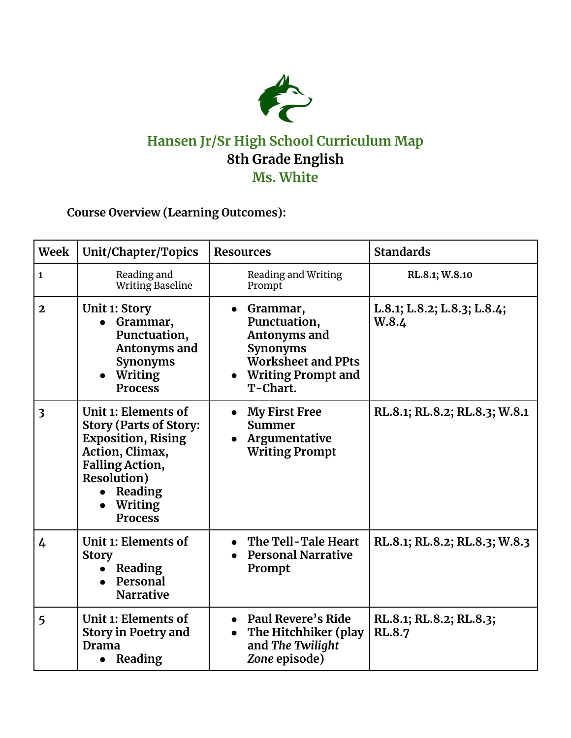

## **Hansen Jr/Sr High School Curriculum Map 8th Grade English Ms. White**

**Course Overview (Learning Outcomes):**

| <b>Week</b>             | Unit/Chapter/Topics                                                                                                                                                                           | <b>Resources</b>                                                                                                      | <b>Standards</b>                         |
|-------------------------|-----------------------------------------------------------------------------------------------------------------------------------------------------------------------------------------------|-----------------------------------------------------------------------------------------------------------------------|------------------------------------------|
| $\mathbf{1}$            | Reading and<br><b>Writing Baseline</b>                                                                                                                                                        | Reading and Writing<br>Prompt                                                                                         | RL.8.1; W.8.10                           |
| $\mathbf{2}$            | <b>Unit 1: Story</b><br>Grammar,<br>Punctuation,<br>Antonyms and<br><b>Synonyms</b><br>Writing<br><b>Process</b>                                                                              | Grammar,<br>Punctuation,<br>Antonyms and<br><b>Synonyms</b><br>Worksheet and PPts<br>• Writing Prompt and<br>T-Chart. | L.8.1; L.8.2; L.8.3; L.8.4;<br>W.8.4     |
| $\overline{\mathbf{3}}$ | Unit 1: Elements of<br><b>Story (Parts of Story:</b><br><b>Exposition, Rising</b><br>Action, Climax,<br><b>Falling Action,</b><br><b>Resolution</b> )<br>Reading<br>Writing<br><b>Process</b> | <b>My First Free</b><br><b>Summer</b><br>Argumentative<br><b>Writing Prompt</b>                                       | RL.8.1; RL.8.2; RL.8.3; W.8.1            |
| $\overline{4}$          | Unit 1: Elements of<br><b>Story</b><br>Reading<br>$\bullet$<br>Personal<br><b>Narrative</b>                                                                                                   | The Tell-Tale Heart<br><b>Personal Narrative</b><br>Prompt                                                            | RL.8.1; RL.8.2; RL.8.3; W.8.3            |
| 5                       | Unit 1: Elements of<br><b>Story in Poetry and</b><br><b>Drama</b><br>• Reading                                                                                                                | • Paul Revere's Ride<br>The Hitchhiker (play<br>and The Twilight<br>Zone episode)                                     | RL.8.1; RL.8.2; RL.8.3;<br><b>RL.8.7</b> |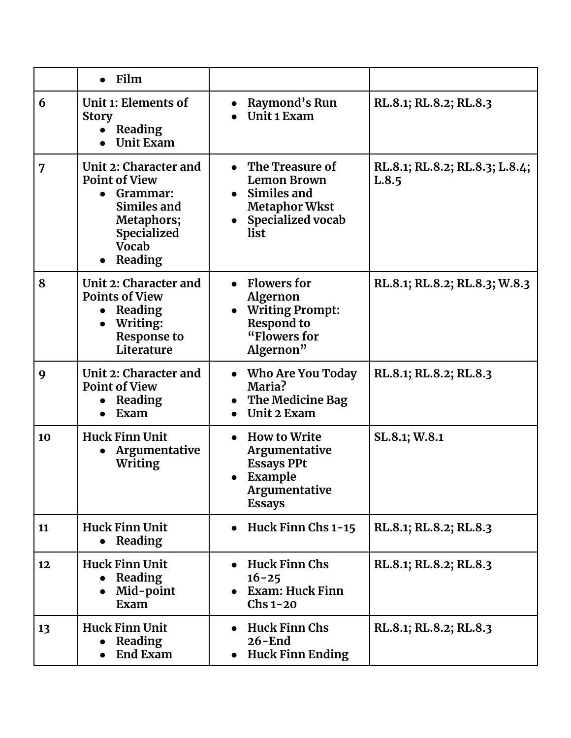|                | $\bullet$ Film                                                                                                                            |                                                                                                                        |                                         |
|----------------|-------------------------------------------------------------------------------------------------------------------------------------------|------------------------------------------------------------------------------------------------------------------------|-----------------------------------------|
| 6              | Unit 1: Elements of<br><b>Story</b><br>Reading<br>$\bullet$<br><b>Unit Exam</b>                                                           | Raymond's Run<br>Unit 1 Exam                                                                                           | RL.8.1; RL.8.2; RL.8.3                  |
| $\overline{7}$ | Unit 2: Character and<br><b>Point of View</b><br>• Grammar:<br>Similes and<br>Metaphors;<br><b>Specialized</b><br><b>Vocab</b><br>Reading | The Treasure of<br><b>Lemon Brown</b><br>Similes and<br>$\bullet$<br><b>Metaphor Wkst</b><br>Specialized vocab<br>list | RL.8.1; RL.8.2; RL.8.3; L.8.4;<br>L.8.5 |
| 8              | Unit 2: Character and<br><b>Points of View</b><br>• Reading<br>Writing:<br><b>Response to</b><br>Literature                               | • Flowers for<br><b>Algernon</b><br><b>Writing Prompt:</b><br><b>Respond to</b><br>"Flowers for<br>Algernon"           | RL.8.1; RL.8.2; RL.8.3; W.8.3           |
| 9              | Unit 2: Character and<br><b>Point of View</b><br>Reading<br>Exam                                                                          | Who Are You Today<br>Maria?<br>The Medicine Bag<br><b>Unit 2 Exam</b>                                                  | RL.8.1; RL.8.2; RL.8.3                  |
| 10             | <b>Huck Finn Unit</b><br>Argumentative<br>$\bullet$<br>Writing                                                                            | <b>How to Write</b><br>$\bullet$<br>Argumentative<br><b>Essays PPt</b><br>Example<br>Argumentative<br><b>Essays</b>    | SL.8.1; W.8.1                           |
| 11             | <b>Huck Finn Unit</b><br>• Reading                                                                                                        | Huck Finn Chs 1-15                                                                                                     | RL.8.1; RL.8.2; RL.8.3                  |
| 12             | <b>Huck Finn Unit</b><br>Reading<br>Mid-point<br>Exam                                                                                     | <b>Huck Finn Chs</b><br>$16 - 25$<br>Exam: Huck Finn<br>$Chs$ 1-20                                                     | RL.8.1; RL.8.2; RL.8.3                  |
| 13             | <b>Huck Finn Unit</b><br>Reading<br><b>End Exam</b>                                                                                       | <b>Huck Finn Chs</b><br>$26 - End$<br><b>Huck Finn Ending</b>                                                          | RL.8.1; RL.8.2; RL.8.3                  |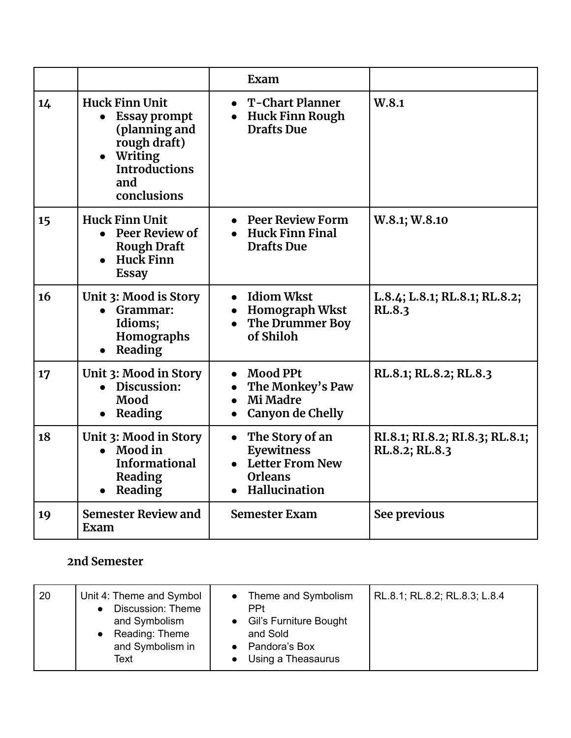|    |                                                                                                                                 | Exam                                                                                       |                                                   |
|----|---------------------------------------------------------------------------------------------------------------------------------|--------------------------------------------------------------------------------------------|---------------------------------------------------|
| 14 | <b>Huck Finn Unit</b><br><b>Essay prompt</b><br>(planning and<br>rough draft)<br>Writing<br>Introductions<br>and<br>conclusions | $\bullet$ T-Chart Planner<br><b>Huck Finn Rough</b><br><b>Drafts Due</b>                   | W.8.1                                             |
| 15 | <b>Huck Finn Unit</b><br><b>Peer Review of</b><br><b>Rough Draft</b><br>Huck Finn<br><b>Essay</b>                               | • Peer Review Form<br><b>Huck Finn Final</b><br><b>Drafts Due</b>                          | W.8.1; W.8.10                                     |
| 16 | Unit 3: Mood is Story<br>• Grammar:<br>Idioms;<br>Homographs<br>Reading                                                         | • Idiom Wkst<br><b>Homograph Wkst</b><br><b>The Drummer Boy</b><br>of Shiloh               | L.8.4; L.8.1; RL.8.1; RL.8.2;<br><b>RL.8.3</b>    |
| 17 | Unit 3: Mood in Story<br>• Discussion:<br>Mood<br>• Reading                                                                     | <b>Mood PPt</b><br>The Monkey's Paw<br>Mi Madre<br>Canyon de Chelly                        | RL.8.1; RL.8.2; RL.8.3                            |
| 18 | Unit 3: Mood in Story<br>$\bullet$ Mood in<br><b>Informational</b><br>Reading<br>Reading                                        | The Story of an<br>Eyewitness<br><b>Letter From New</b><br><b>Orleans</b><br>Hallucination | RI.8.1; RI.8.2; RI.8.3; RL.8.1;<br>RL.8.2; RL.8.3 |
| 19 | <b>Semester Review and</b><br>Exam                                                                                              | <b>Semester Exam</b>                                                                       | See previous                                      |

## **2nd Semester**

| 20<br>Text | Unit 4: Theme and Symbol<br>Discussion: Theme<br>and Symbolism<br>Reading: Theme<br>and Symbolism in | Theme and Symbolism<br><b>PPt</b><br>• Gil's Furniture Bought<br>and Sold<br>Pandora's Box<br>Using a Theasaurus | RL.8.1; RL.8.2; RL.8.3; L.8.4 |
|------------|------------------------------------------------------------------------------------------------------|------------------------------------------------------------------------------------------------------------------|-------------------------------|
|------------|------------------------------------------------------------------------------------------------------|------------------------------------------------------------------------------------------------------------------|-------------------------------|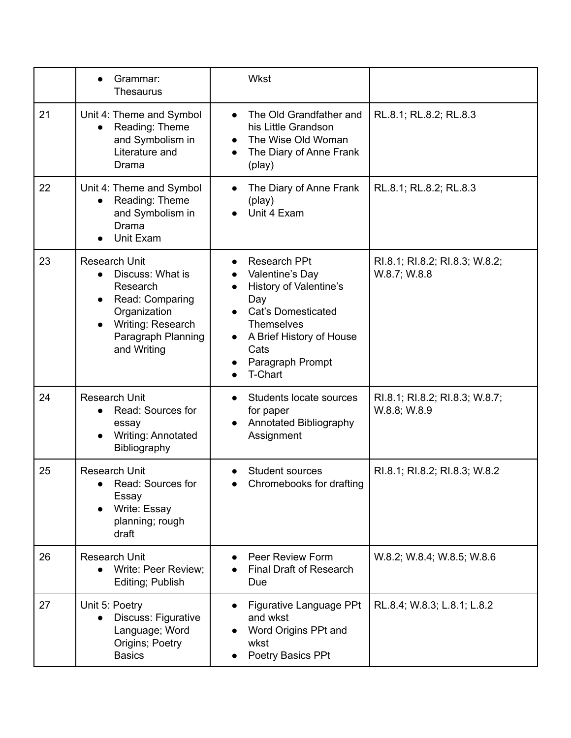|    | Grammar:<br><b>Thesaurus</b>                                                                                                                                   | Wkst                                                                                                                                                                                         |                                                |
|----|----------------------------------------------------------------------------------------------------------------------------------------------------------------|----------------------------------------------------------------------------------------------------------------------------------------------------------------------------------------------|------------------------------------------------|
| 21 | Unit 4: Theme and Symbol<br>Reading: Theme<br>and Symbolism in<br>Literature and<br>Drama                                                                      | The Old Grandfather and<br>$\bullet$<br>his Little Grandson<br>The Wise Old Woman<br>The Diary of Anne Frank<br>$\bullet$<br>(play)                                                          | RL.8.1; RL.8.2; RL.8.3                         |
| 22 | Unit 4: Theme and Symbol<br>Reading: Theme<br>and Symbolism in<br>Drama<br>Unit Exam                                                                           | The Diary of Anne Frank<br>(play)<br>Unit 4 Exam                                                                                                                                             | RL.8.1; RL.8.2; RL.8.3                         |
| 23 | <b>Research Unit</b><br>Discuss: What is<br>$\bullet$<br>Research<br>Read: Comparing<br>Organization<br>Writing: Research<br>Paragraph Planning<br>and Writing | <b>Research PPt</b><br>Valentine's Day<br>History of Valentine's<br>Day<br><b>Cat's Domesticated</b><br><b>Themselves</b><br>A Brief History of House<br>Cats<br>Paragraph Prompt<br>T-Chart | RI.8.1; RI.8.2; RI.8.3; W.8.2;<br>W.8.7; W.8.8 |
| 24 | <b>Research Unit</b><br>Read: Sources for<br>essay<br><b>Writing: Annotated</b><br>Bibliography                                                                | Students locate sources<br>for paper<br>Annotated Bibliography<br>Assignment                                                                                                                 | RI.8.1; RI.8.2; RI.8.3; W.8.7;<br>W.8.8; W.8.9 |
| 25 | <b>Research Unit</b><br>Read: Sources for<br>Essay<br>Write: Essay<br>planning; rough<br>draft                                                                 | Student sources<br>Chromebooks for drafting                                                                                                                                                  | RI.8.1; RI.8.2; RI.8.3; W.8.2                  |
| 26 | <b>Research Unit</b><br>Write: Peer Review;<br>Editing; Publish                                                                                                | Peer Review Form<br><b>Final Draft of Research</b><br>Due                                                                                                                                    | W.8.2; W.8.4; W.8.5; W.8.6                     |
| 27 | Unit 5: Poetry<br>Discuss: Figurative<br>Language; Word<br>Origins; Poetry<br><b>Basics</b>                                                                    | Figurative Language PPt<br>and wkst<br>Word Origins PPt and<br>wkst<br>Poetry Basics PPt                                                                                                     | RL.8.4; W.8.3; L.8.1; L.8.2                    |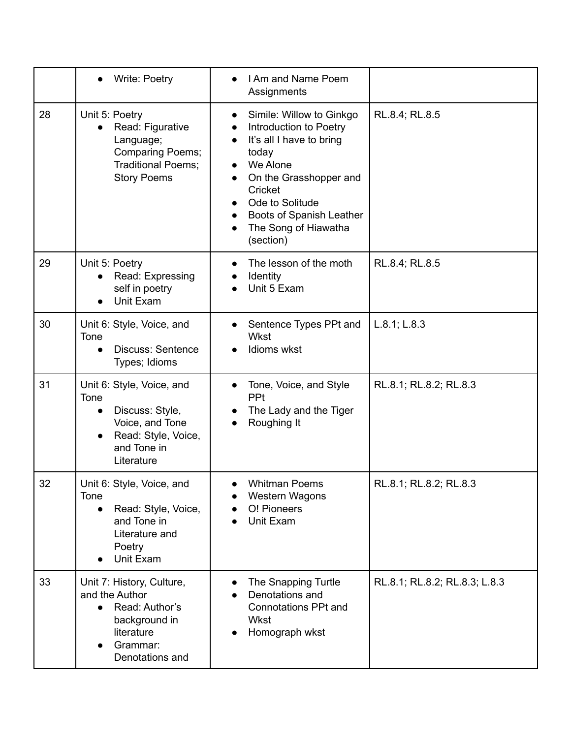|    | <b>Write: Poetry</b>                                                                                                                     | I Am and Name Poem<br>Assignments                                                                                                                                                                                            |                               |
|----|------------------------------------------------------------------------------------------------------------------------------------------|------------------------------------------------------------------------------------------------------------------------------------------------------------------------------------------------------------------------------|-------------------------------|
| 28 | Unit 5: Poetry<br>Read: Figurative<br>Language;<br><b>Comparing Poems;</b><br>Traditional Poems;<br><b>Story Poems</b>                   | Simile: Willow to Ginkgo<br>Introduction to Poetry<br>It's all I have to bring<br>today<br>We Alone<br>On the Grasshopper and<br>Cricket<br>Ode to Solitude<br>Boots of Spanish Leather<br>The Song of Hiawatha<br>(section) | RL.8.4; RL.8.5                |
| 29 | Unit 5: Poetry<br>Read: Expressing<br>self in poetry<br>Unit Exam                                                                        | The lesson of the moth<br>Identity<br>Unit 5 Exam                                                                                                                                                                            | RL.8.4; RL.8.5                |
| 30 | Unit 6: Style, Voice, and<br>Tone<br><b>Discuss: Sentence</b><br>Types; Idioms                                                           | Sentence Types PPt and<br>Wkst<br>Idioms wkst                                                                                                                                                                                | L.8.1; L.8.3                  |
| 31 | Unit 6: Style, Voice, and<br>Tone<br>Discuss: Style,<br>$\bullet$<br>Voice, and Tone<br>Read: Style, Voice,<br>and Tone in<br>Literature | Tone, Voice, and Style<br><b>PPt</b><br>The Lady and the Tiger<br>Roughing It                                                                                                                                                | RL.8.1; RL.8.2; RL.8.3        |
| 32 | Unit 6: Style, Voice, and<br>Tone<br>Read: Style, Voice,<br>and Tone in<br>Literature and<br>Poetry<br>Unit Exam                         | <b>Whitman Poems</b><br>Western Wagons<br>O! Pioneers<br>Unit Exam                                                                                                                                                           | RL.8.1; RL.8.2; RL.8.3        |
| 33 | Unit 7: History, Culture,<br>and the Author<br>• Read: Author's<br>background in<br>literature<br>Grammar:<br>Denotations and            | The Snapping Turtle<br>Denotations and<br><b>Connotations PPt and</b><br>Wkst<br>Homograph wkst                                                                                                                              | RL.8.1; RL.8.2; RL.8.3; L.8.3 |